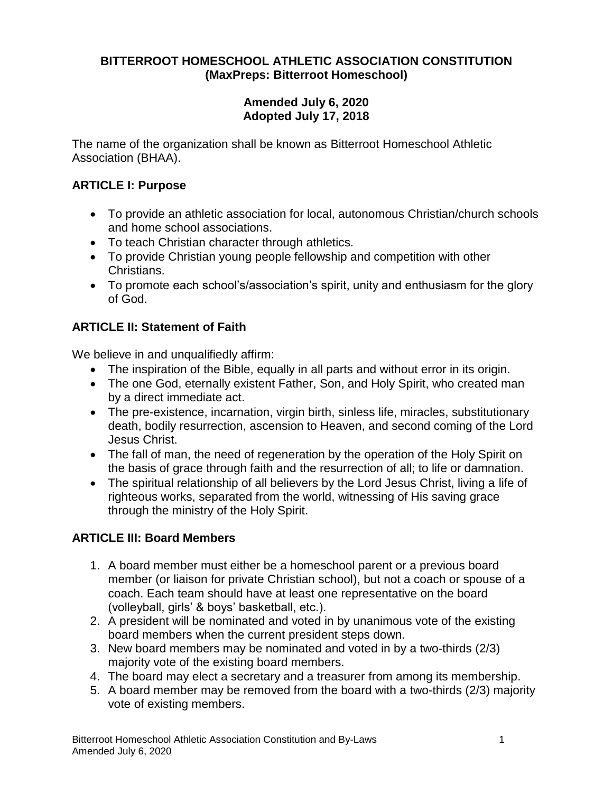## **BITTERROOT HOMESCHOOL ATHLETIC ASSOCIATION CONSTITUTION (MaxPreps: Bitterroot Homeschool)**

## **Amended July 6, 2020 Adopted July 17, 2018**

The name of the organization shall be known as Bitterroot Homeschool Athletic Association (BHAA).

# **ARTICLE I: Purpose**

- To provide an athletic association for local, autonomous Christian/church schools and home school associations.
- To teach Christian character through athletics.
- To provide Christian young people fellowship and competition with other Christians.
- To promote each school's/association's spirit, unity and enthusiasm for the glory of God.

# **ARTICLE II: Statement of Faith**

We believe in and unqualifiedly affirm:

- The inspiration of the Bible, equally in all parts and without error in its origin.
- The one God, eternally existent Father, Son, and Holy Spirit, who created man by a direct immediate act.
- The pre-existence, incarnation, virgin birth, sinless life, miracles, substitutionary death, bodily resurrection, ascension to Heaven, and second coming of the Lord Jesus Christ.
- The fall of man, the need of regeneration by the operation of the Holy Spirit on the basis of grace through faith and the resurrection of all; to life or damnation.
- The spiritual relationship of all believers by the Lord Jesus Christ, living a life of righteous works, separated from the world, witnessing of His saving grace through the ministry of the Holy Spirit.

# **ARTICLE III: Board Members**

- 1. A board member must either be a homeschool parent or a previous board member (or liaison for private Christian school), but not a coach or spouse of a coach. Each team should have at least one representative on the board (volleyball, girls' & boys' basketball, etc.).
- 2. A president will be nominated and voted in by unanimous vote of the existing board members when the current president steps down.
- 3. New board members may be nominated and voted in by a two-thirds (2/3) majority vote of the existing board members.
- 4. The board may elect a secretary and a treasurer from among its membership.
- 5. A board member may be removed from the board with a two-thirds (2/3) majority vote of existing members.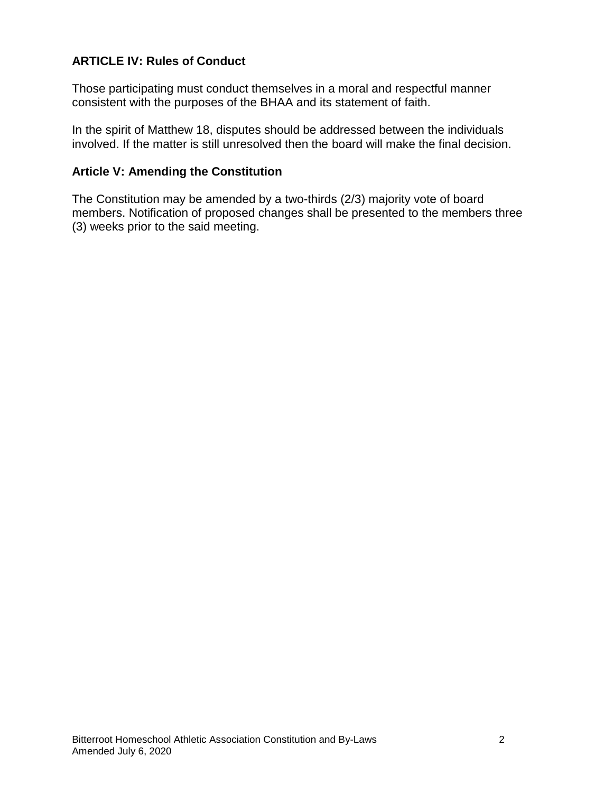# **ARTICLE IV: Rules of Conduct**

Those participating must conduct themselves in a moral and respectful manner consistent with the purposes of the BHAA and its statement of faith.

In the spirit of Matthew 18, disputes should be addressed between the individuals involved. If the matter is still unresolved then the board will make the final decision.

#### **Article V: Amending the Constitution**

The Constitution may be amended by a two-thirds (2/3) majority vote of board members. Notification of proposed changes shall be presented to the members three (3) weeks prior to the said meeting.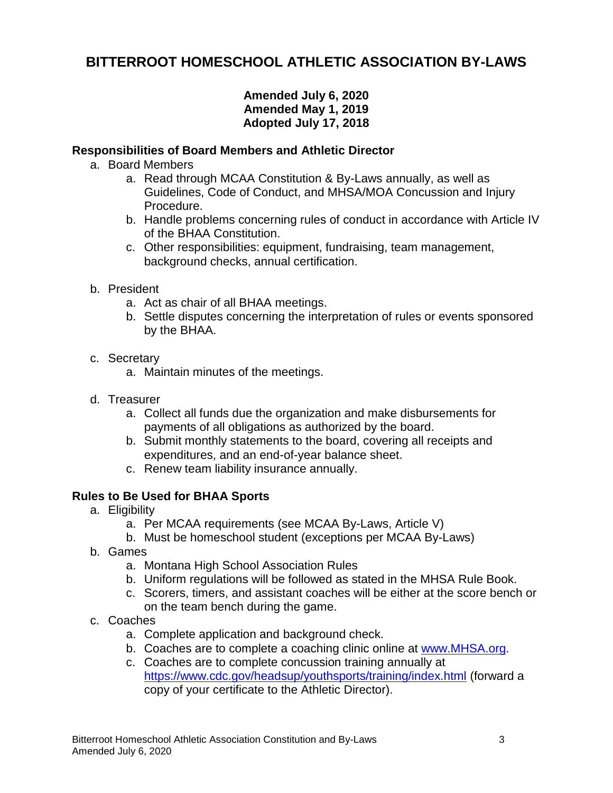# **BITTERROOT HOMESCHOOL ATHLETIC ASSOCIATION BY-LAWS**

## **Amended July 6, 2020 Amended May 1, 2019 Adopted July 17, 2018**

#### **Responsibilities of Board Members and Athletic Director**

- a. Board Members
	- a. Read through MCAA Constitution & By-Laws annually, as well as Guidelines, Code of Conduct, and MHSA/MOA Concussion and Injury Procedure.
	- b. Handle problems concerning rules of conduct in accordance with Article IV of the BHAA Constitution.
	- c. Other responsibilities: equipment, fundraising, team management, background checks, annual certification.
- b. President
	- a. Act as chair of all BHAA meetings.
	- b. Settle disputes concerning the interpretation of rules or events sponsored by the BHAA.
- c. Secretary
	- a. Maintain minutes of the meetings.
- d. Treasurer
	- a. Collect all funds due the organization and make disbursements for payments of all obligations as authorized by the board.
	- b. Submit monthly statements to the board, covering all receipts and expenditures, and an end-of-year balance sheet.
	- c. Renew team liability insurance annually.

## **Rules to Be Used for BHAA Sports**

- a. Eligibility
	- a. Per MCAA requirements (see MCAA By-Laws, Article V)
	- b. Must be homeschool student (exceptions per MCAA By-Laws)
- b. Games
	- a. Montana High School Association Rules
	- b. Uniform regulations will be followed as stated in the MHSA Rule Book.
	- c. Scorers, timers, and assistant coaches will be either at the score bench or on the team bench during the game.
- c. Coaches
	- a. Complete application and background check.
	- b. Coaches are to complete a coaching clinic online at [www.MHSA.org.](http://www.mhsa.org/)
	- c. Coaches are to complete concussion training annually at <https://www.cdc.gov/headsup/youthsports/training/index.html> (forward a copy of your certificate to the Athletic Director).